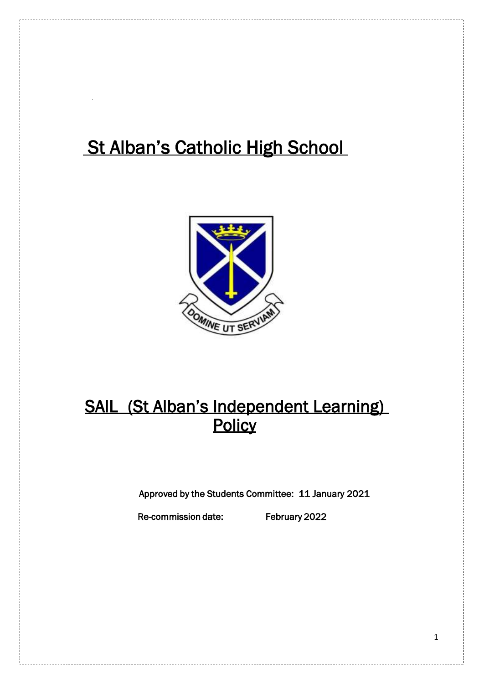# St Alban's Catholic High School



## SAIL (St Alban's Independent Learning) **Policy**

Approved by the Students Committee: 11 January 2021

Re-commission date: February 2022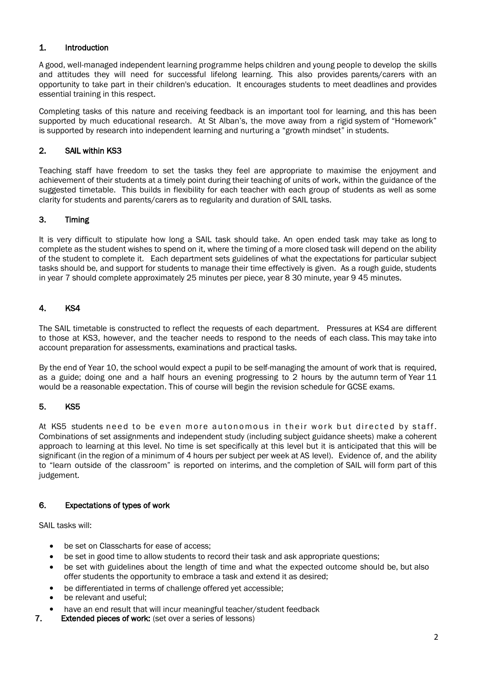#### 1. Introduction

A good, well-managed independent learning programme helps children and young people to develop the skills and attitudes they will need for successful lifelong learning. This also provides parents/carers with an opportunity to take part in their children's education. It encourages students to meet deadlines and provides essential training in this respect.

Completing tasks of this nature and receiving feedback is an important tool for learning, and this has been supported by much educational research. At St Alban's, the move away from a rigid system of "Homework" is supported by research into independent learning and nurturing a "growth mindset" in students.

#### 2. SAIL within KS3

Teaching staff have freedom to set the tasks they feel are appropriate to maximise the enjoyment and achievement of their students at a timely point during their teaching of units of work, within the guidance of the suggested timetable. This builds in flexibility for each teacher with each group of students as well as some clarity for students and parents/carers as to regularity and duration of SAIL tasks.

#### 3. Timing

It is very difficult to stipulate how long a SAIL task should take. An open ended task may take as long to complete as the student wishes to spend on it, where the timing of a more closed task will depend on the ability of the student to complete it. Each department sets guidelines of what the expectations for particular subject tasks should be, and support for students to manage their time effectively is given. As a rough guide, students in year 7 should complete approximately 25 minutes per piece, year 8 30 minute, year 9 45 minutes.

## 4. KS4

The SAIL timetable is constructed to reflect the requests of each department. Pressures at KS4 are different to those at KS3, however, and the teacher needs to respond to the needs of each class. This may take into account preparation for assessments, examinations and practical tasks.

By the end of Year 10, the school would expect a pupil to be self-managing the amount of work that is required, as a guide; doing one and a half hours an evening progressing to 2 hours by the autumn term of Year 11 would be a reasonable expectation. This of course will begin the revision schedule for GCSE exams.

#### 5. KS5

At KS5 students need to be even more autonomous in their work but directed by staff. Combinations of set assignments and independent study (including subject guidance sheets) make a coherent approach to learning at this level. No time is set specifically at this level but it is anticipated that this will be significant (in the region of a minimum of 4 hours per subject per week at AS level). Evidence of, and the ability to "learn outside of the classroom" is reported on interims, and the completion of SAIL will form part of this judgement.

#### 6. Expectations of types of work

SAIL tasks will:

- be set on Classcharts for ease of access;
- be set in good time to allow students to record their task and ask appropriate questions;
- be set with guidelines about the length of time and what the expected outcome should be, but also offer students the opportunity to embrace a task and extend it as desired;
- be differentiated in terms of challenge offered yet accessible;
- be relevant and useful;
- have an end result that will incur meaningful teacher/student feedback
- 7. Extended pieces of work: (set over a series of lessons)